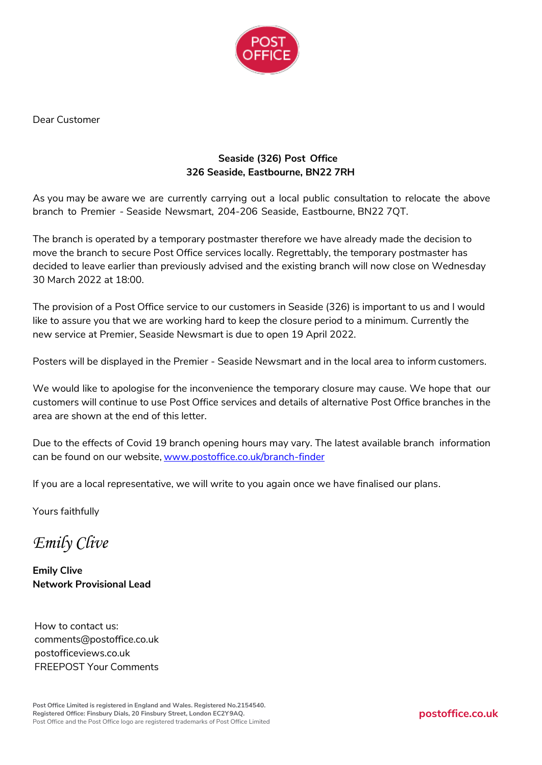

Dear Customer

# **Seaside (326) Post Office 326 Seaside, Eastbourne, BN22 7RH**

As you may be aware we are currently carrying out a local public consultation to relocate the above branch to Premier - Seaside Newsmart, 204-206 Seaside, Eastbourne, BN22 7QT.

The branch is operated by a temporary postmaster therefore we have already made the decision to move the branch to secure Post Office services locally. Regrettably, the temporary postmaster has decided to leave earlier than previously advised and the existing branch will now close on Wednesday 30 March 2022 at 18:00.

The provision of a Post Office service to our customers in Seaside (326) is important to us and I would like to assure you that we are working hard to keep the closure period to a minimum. Currently the new service at Premier, Seaside Newsmart is due to open 19 April 2022.

Posters will be displayed in the Premier - Seaside Newsmart and in the local area to inform customers.

We would like to apologise for the inconvenience the temporary closure may cause. We hope that our customers will continue to use Post Office services and details of alternative Post Office branches in the area are shown at the end of this letter.

Due to the effects of Covid 19 branch opening hours may vary. The latest available branch information can be found on our website, [www.postoffice.co.uk/branch-finder](http://www.postoffice.co.uk/branch-finder)

If you are a local representative, we will write to you again once we have finalised our plans.

Yours faithfully

*Emily Clive*

**Emily Clive Network Provisional Lead**

How to contact us: [comments@postoffice.co.uk](mailto:comments@postoffice.co.uk) postofficeviews.co.uk FREEPOST Your Comments

**Post Office Limited is registered in England and Wales. Registered No.2154540. Registered Office: Finsbury Dials, 20 Finsbury Street, London EC2Y9AQ.** Post Office and the Post Office logo are registered trademarks of Post Office Limited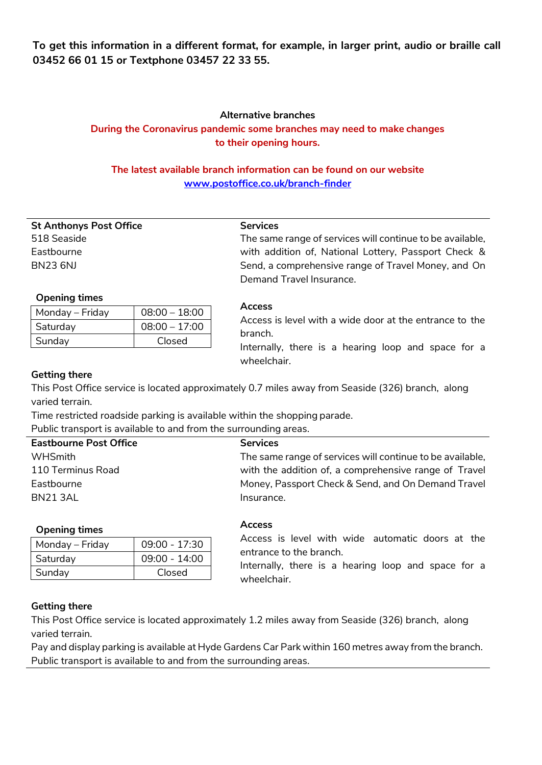**To get this information in a different format, for example, in larger print, audio or braille call 03452 66 01 15 or Textphone 03457 22 33 55.**

## **Alternative branches During the Coronavirus pandemic some branches may need to make changes to their opening hours.**

# **The latest available branch information can be found on our website [www.postoffice.co.uk/branch-finder](http://www.postoffice.co.uk/branch-finder)**

| <b>St Anthonys Post Office</b> |
|--------------------------------|
| 518 Seaside                    |
| Fastbourne                     |
| BN23 6NJ                       |

#### **Services**

The same range of services will continue to be available, with addition of, National Lottery, Passport Check & Send, a comprehensive range of Travel Money, and On Demand Travel Insurance.

## **Opening times**

| Monday – Friday | $08:00 - 18:00$ |
|-----------------|-----------------|
| Saturday        | $08:00 - 17:00$ |
| Sunday          | Closed          |

#### **Access**

Access is level with a wide door at the entrance to the branch.

Internally, there is a hearing loop and space for a wheelchair.

## **Getting there**

This Post Office service is located approximately 0.7 miles away from Seaside (326) branch, along varied terrain.

Time restricted roadside parking is available within the shopping parade.

Public transport is available to and from the surrounding areas.

| <b>Eastbourne Post Office</b> | <b>Services</b>                                           |
|-------------------------------|-----------------------------------------------------------|
| WHSmith                       | The same range of services will continue to be available, |
| 110 Terminus Road             | with the addition of, a comprehensive range of Travel     |
| Eastbourne                    | Money, Passport Check & Send, and On Demand Travel        |
| BN213AL                       | Insurance.                                                |
|                               |                                                           |

#### **Opening times**

| Monday – Friday | $09:00 - 17:30$ |
|-----------------|-----------------|
| Saturday        | $09:00 - 14:00$ |
| Sunday          | Closed          |

#### **Access**

Access is level with wide automatic doors at the entrance to the branch.

Internally, there is a hearing loop and space for a wheelchair.

## **Getting there**

This Post Office service is located approximately 1.2 miles away from Seaside (326) branch, along varied terrain.

Pay and display parking is available at Hyde Gardens Car Park within 160 metres away from the branch. Public transport is available to and from the surrounding areas.